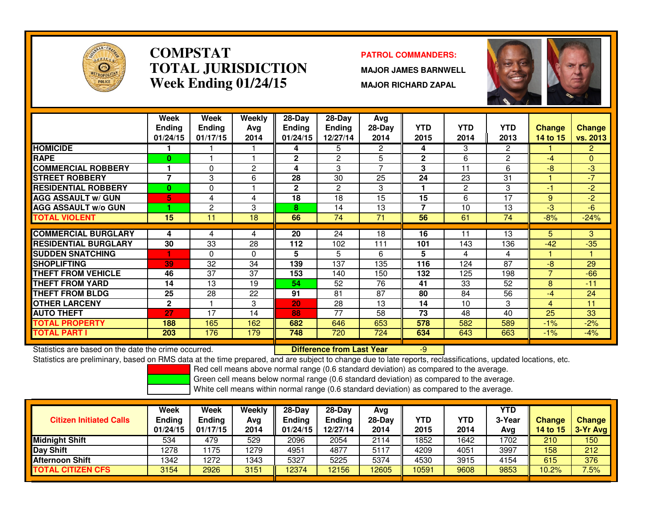

### **COMPSTATPATROL COMMANDERS:**<br> **PATROL COMMANDERS: TOTAL JURISDICTIONWeek Ending 01/24/15**

 **MAJOR JAMES BARNWELL MAJOR RICHARD ZAPAL**



|                             | Week          | Week          | <b>Weekly</b>  | $28$ -Day    | $28$ -Day      | Avg             |                |            |                |                |                |
|-----------------------------|---------------|---------------|----------------|--------------|----------------|-----------------|----------------|------------|----------------|----------------|----------------|
|                             | <b>Ending</b> | <b>Ending</b> | Avg            | Ending       | <b>Ending</b>  | $28$ -Day       | <b>YTD</b>     | <b>YTD</b> | <b>YTD</b>     | <b>Change</b>  | <b>Change</b>  |
|                             | 01/24/15      | 01/17/15      | 2014           | 01/24/15     | 12/27/14       | 2014            | 2015           | 2014       | 2013           | 14 to 15       | vs. 2013       |
| <b>HOMICIDE</b>             |               |               |                | 4            | 5              | $\overline{2}$  | 4              | 3          | $\overline{2}$ |                | $\overline{2}$ |
| <b>RAPE</b>                 | $\bf{0}$      |               |                | $\mathbf{2}$ | $\overline{2}$ | 5               | $\overline{2}$ | 6          | 2              | -4             | $\Omega$       |
| <b>COMMERCIAL ROBBERY</b>   |               | 0             | $\overline{2}$ | 4            | 3              | $\overline{ }$  | 3              | 11         | 6              | -8             | -3             |
| <b>ISTREET ROBBERY</b>      | 7             | 3             | 6              | 28           | 30             | 25              | 24             | 23         | 31             |                | $-7$           |
| <b>RESIDENTIAL ROBBERY</b>  | $\bf{0}$      | 0             |                | $\mathbf{2}$ | 2              | 3               | 1              | 2          | 3              | -1             | $-2$           |
| <b>AGG ASSAULT w/ GUN</b>   | 5             | 4             | 4              | 18           | 18             | 15              | 15             | 6          | 17             | 9              | $-2$           |
| <b>AGG ASSAULT W/o GUN</b>  |               | 2             | 3              | 8            | 14             | 13              | $\overline{7}$ | 10         | 13             | $-3$           | $-6$           |
| <b>TOTAL VIOLENT</b>        | 15            | 11            | 18             | 66           | 74             | $\overline{71}$ | 56             | 61         | 74             | $-8%$          | $-24%$         |
|                             |               |               |                |              |                |                 |                |            |                |                |                |
| <b>COMMERCIAL BURGLARY</b>  | 4             | 4             | 4              | 20           | 24             | 18              | 16             | 11         | 13             | 5              | 3              |
| <b>RESIDENTIAL BURGLARY</b> | 30            | 33            | 28             | 112          | 102            | 111             | 101            | 143        | 136            | $-42$          | $-35$          |
| <b>SUDDEN SNATCHING</b>     |               | $\Omega$      | 0              | 5            | 5              | 6               | 5              | 4          | 4              |                |                |
| <b>SHOPLIFTING</b>          | 39            | 32            | 34             | 139          | 137            | 135             | 116            | 124        | 87             | $-8$           | 29             |
| <b>THEFT FROM VEHICLE</b>   | 46            | 37            | 37             | 153          | 140            | 150             | 132            | 125        | 198            | $\overline{ }$ | $-66$          |
| <b>THEFT FROM YARD</b>      | 14            | 13            | 19             | 54           | 52             | 76              | 41             | 33         | 52             | 8              | $-11$          |
| <b>THEFT FROM BLDG</b>      | 25            | 28            | 22             | 91           | 81             | 87              | 80             | 84         | 56             | $-4$           | 24             |
| <b>OTHER LARCENY</b>        | $\mathbf 2$   |               | 3              | 20           | 28             | 13              | 14             | 10         | 3              | 4              | 11             |
| <b>AUTO THEFT</b>           | 27            | 17            | 14             | 88           | 77             | 58              | 73             | 48         | 40             | 25             | 33             |
| <b>TOTAL PROPERTY</b>       | 188           | 165           | 162            | 682          | 646            | 653             | 578            | 582        | 589            | $-1%$          | $-2%$          |
| <b>TOTAL PART I</b>         | 203           | 176           | 179            | 748          | 720            | 724             | 634            | 643        | 663            | $-1%$          | $-4%$          |

Statistics are based on the date the crime occurred. **Difference from Last Year** 

Statistics are based on the date the crime occurred. **Extended Lubbert Confference from Last Year Theoret 2006**<br>Statistics are preliminary, based on RMS data at the time prepared, and are subject to change due to late repo

Red cell means above normal range (0.6 standard deviation) as compared to the average.

Green cell means below normal range (0.6 standard deviation) as compared to the average.

| <b>Citizen Initiated Calls</b> | Week<br><b>Ending</b><br>01/24/15 | <b>Week</b><br><b>Ending</b><br>01/17/15 | <b>Weekly</b><br>Ava<br>2014 | $28$ -Dav<br><b>Ending</b><br>01/24/15 | $28-Dav$<br><b>Ending</b><br>12/27/14 | Avg<br>$28-Dav$<br>2014 | YTD<br>2015 | YTD<br>2014 | <b>YTD</b><br>3-Year<br>Avg | <b>Change</b><br><b>14 to 15</b> | <b>Change</b><br>$3-Yr$ Avg |
|--------------------------------|-----------------------------------|------------------------------------------|------------------------------|----------------------------------------|---------------------------------------|-------------------------|-------------|-------------|-----------------------------|----------------------------------|-----------------------------|
| <b>Midnight Shift</b>          | 534                               | 479                                      | 529                          | 2096                                   | 2054                                  | 2114                    | 1852        | 1642        | 1702                        | 210                              | 150                         |
| <b>Day Shift</b>               | 1278                              | 175                                      | 1279                         | 4951                                   | 4877                                  | 5117                    | 4209        | 4051        | 3997                        | 158                              | 212                         |
| Afternoon Shift                | 1342                              | 1272                                     | 1343                         | 5327                                   | 5225                                  | 5374                    | 4530        | 3915        | 4154                        | 615                              | 376                         |
| <b>TOTAL CITIZEN CFS</b>       | 3154                              | 2926                                     | 3151                         | 12374                                  | 12156                                 | 12605                   | 10591       | 9608        | 9853                        | 10.2%                            | 7.5%                        |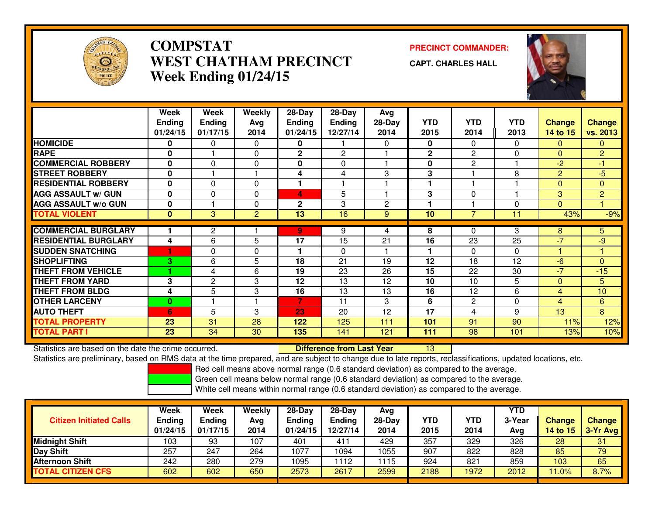

## **COMPSTAT PRECINCT COMMANDER: WEST CHATHAM PRECINCTWeek Ending 01/24/15**



**CAPT. CHARLES HALL**



|                             | Week<br><b>Ending</b><br>01/24/15 | Week<br><b>Ending</b><br>01/17/15 | Weekly<br>Avg<br>2014 | $28-Day$<br><b>Ending</b><br>01/24/15 | 28-Day<br>Ending<br>12/27/14 | Avg<br>$28-Day$<br>2014 | <b>YTD</b><br>2015 | <b>YTD</b><br>2014 | <b>YTD</b><br>2013 | <b>Change</b><br>14 to 15 | <b>Change</b><br>vs. 2013 |
|-----------------------------|-----------------------------------|-----------------------------------|-----------------------|---------------------------------------|------------------------------|-------------------------|--------------------|--------------------|--------------------|---------------------------|---------------------------|
| <b>HOMICIDE</b>             | 0                                 | 0                                 | 0                     | 0                                     |                              | $\Omega$                | $\mathbf{0}$       | 0                  | 0                  | 0                         | $\mathbf{0}$              |
| <b>RAPE</b>                 | $\bf{0}$                          |                                   | $\Omega$              | $\mathbf{2}$                          | $\overline{2}$               |                         | $\mathbf{2}$       | $\mathbf{2}$       | 0                  | $\Omega$                  | $\overline{2}$            |
| <b>COMMERCIAL ROBBERY</b>   | 0                                 | 0                                 | $\Omega$              | $\bf{0}$                              | $\Omega$                     |                         | 0                  | $\mathbf{2}$       |                    | $-2$                      | $-1$                      |
| <b>STREET ROBBERY</b>       | $\mathbf{0}$                      |                                   |                       | 4                                     | 4                            | 3                       | 3                  |                    | 8                  | $\overline{2}$            | $-5$                      |
| <b>RESIDENTIAL ROBBERY</b>  | $\bf{0}$                          | $\Omega$                          | $\Omega$              |                                       |                              |                         |                    |                    |                    | $\Omega$                  | $\mathbf{0}$              |
| <b>AGG ASSAULT w/ GUN</b>   | $\bf{0}$                          | $\Omega$                          | $\Omega$              | 4                                     | 5                            |                         | 3                  | $\Omega$           |                    | 3                         | $\overline{2}$            |
| <b>AGG ASSAULT w/o GUN</b>  | $\bf{0}$                          |                                   | $\Omega$              | $\mathbf{2}$                          | 3                            | $\overline{2}$          |                    |                    | $\Omega$           | $\Omega$                  |                           |
| <b>TOTAL VIOLENT</b>        | $\mathbf{0}$                      | 3                                 | $\overline{2}$        | 13                                    | 16                           | 9                       | 10                 | $\overline{7}$     | 11                 | 43%                       | $-9%$                     |
|                             |                                   |                                   |                       |                                       |                              |                         |                    |                    |                    |                           |                           |
| <b>COMMERCIAL BURGLARY</b>  |                                   | $\overline{c}$                    |                       | 9                                     | 9                            | 4                       | 8                  | $\Omega$           | 3                  | 8                         | $\overline{5}$            |
| <b>RESIDENTIAL BURGLARY</b> | 4                                 | 6                                 | 5                     | 17                                    | 15                           | 21                      | 16                 | 23                 | 25                 | $-7$                      | $-9$                      |
| <b>SUDDEN SNATCHING</b>     |                                   | 0                                 | $\Omega$              |                                       | $\Omega$                     |                         |                    | 0                  | $\Omega$           |                           |                           |
| <b>SHOPLIFTING</b>          | 3.                                | 6                                 | 5.                    | 18                                    | 21                           | 19                      | 12                 | 18                 | 12                 | -6                        | $\Omega$                  |
| <b>THEFT FROM VEHICLE</b>   |                                   | 4                                 | 6                     | 19                                    | 23                           | 26                      | 15                 | 22                 | 30                 | $-7$                      | $-15$                     |
| <b>THEFT FROM YARD</b>      | 3                                 | $\mathbf{2}$                      | 3                     | 12                                    | 13                           | 12                      | 10                 | 10                 | 5                  | $\Omega$                  | 5                         |
| <b>THEFT FROM BLDG</b>      | 4                                 | 5                                 | 3                     | 16                                    | 13                           | 13                      | 16                 | 12                 | 6                  | 4                         | 10                        |
| <b>OTHER LARCENY</b>        | $\mathbf{0}$                      |                                   |                       | 7                                     | 11                           | 3                       | 6                  | $\mathbf{2}$       | $\Omega$           | 4                         | 6                         |
| <b>AUTO THEFT</b>           | 6                                 | 5                                 | 3                     | 23                                    | 20                           | 12                      | 17                 | 4                  | 9                  | 13                        | 8                         |
| <b>TOTAL PROPERTY</b>       | 23                                | 31                                | 28                    | 122                                   | 125                          | 111                     | 101                | 91                 | 90                 | 11%                       | 12%                       |
| <b>TOTAL PART I</b>         | 23                                | 34                                | 30                    | 135                                   | 141                          | 121                     | 111                | 98                 | 101                | 13%                       | 10%                       |

Statistics are based on the date the crime occurred. **Difference from Last Year** 

Statistics are based on the date the crime occurred. The time prepared, and are subject to change due to late reports, reclassifications, updated locations, etc.<br>Statistics are preliminary, based on RMS data at the time pr

Red cell means above normal range (0.6 standard deviation) as compared to the average.

Green cell means below normal range (0.6 standard deviation) as compared to the average.

| Week<br><b>Ending</b><br>01/24/15 | <b>Week</b><br><b>Ending</b><br>01/17/15 | Weekly<br>Avg<br>2014 | 28-Day<br><b>Ending</b><br>01/24/15 | $28-Day$<br><b>Ending</b><br>12/27/14 | Avg<br>28-Dav<br>2014 | YTD<br>2015 | <b>YTD</b><br>2014 | YTD<br>3-Year<br>Avg | <b>Change</b><br>14 to 15 | <b>Change</b><br>3-Yr Avg |
|-----------------------------------|------------------------------------------|-----------------------|-------------------------------------|---------------------------------------|-----------------------|-------------|--------------------|----------------------|---------------------------|---------------------------|
| 103                               | 93                                       | 107                   | 401                                 | 41 <sup>1</sup>                       | 429                   | 357         | 329                | 326                  | 28                        | 31                        |
| 257                               | 247                                      | 264                   | 1077                                | 1094                                  | 1055                  | 907         | 822                | 828                  | 85                        | 79                        |
| 242                               | 280                                      | 279                   | 1095                                | 112                                   | 1115                  | 924         | 821                | 859                  | 103                       | 65                        |
| 602                               | 602                                      | 650                   | 2573                                | 2617                                  | 2599                  | 2188        | 1972               | 2012                 | .0%                       | 8.7%                      |
|                                   |                                          |                       |                                     |                                       |                       |             |                    |                      |                           |                           |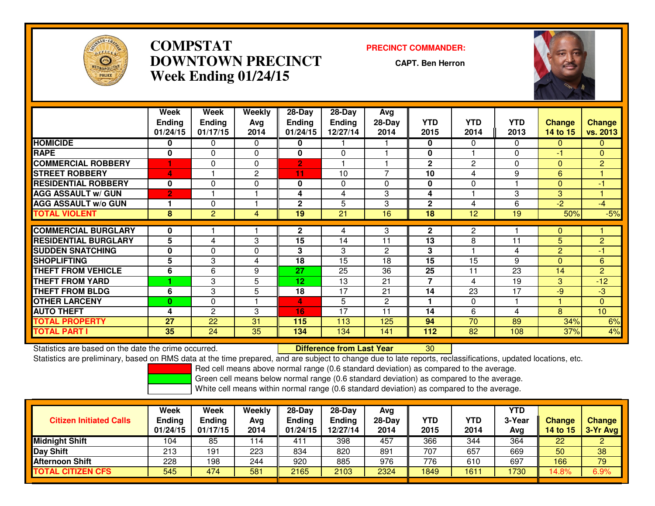

## **COMPSTAT PRECINCT COMMANDER: DOWNTOWN PRECINCTWeek Ending 01/24/15**

**CAPT. Ben Herron**



|                             | Week<br><b>Ending</b><br>01/24/15 | Week<br><b>Endina</b><br>01/17/15 | Weekly<br>Avg<br>2014 | $28-Day$<br><b>Ending</b><br>01/24/15 | $28$ -Day<br><b>Ending</b><br>12/27/14 | Avg<br>$28-Day$<br>2014 | <b>YTD</b><br>2015 | <b>YTD</b><br>2014 | <b>YTD</b><br>2013 | <b>Change</b><br>14 to 15 | <b>Change</b><br>vs. 2013 |
|-----------------------------|-----------------------------------|-----------------------------------|-----------------------|---------------------------------------|----------------------------------------|-------------------------|--------------------|--------------------|--------------------|---------------------------|---------------------------|
| <b>HOMICIDE</b>             | 0                                 | $\Omega$                          | $\Omega$              | 0                                     |                                        |                         | $\mathbf{0}$       | 0                  | $\Omega$           | 0                         | $\mathbf{0}$              |
| <b>RAPE</b>                 | 0                                 | $\Omega$                          | $\Omega$              | 0                                     | 0                                      |                         | 0                  |                    | $\Omega$           | -1                        | $\Omega$                  |
| <b>COMMERCIAL ROBBERY</b>   |                                   | $\Omega$                          | $\Omega$              | $\overline{2}$                        |                                        |                         | $\mathbf{2}$       | 2                  | $\Omega$           | $\mathbf{0}$              | $\overline{2}$            |
| <b>STREET ROBBERY</b>       | 4                                 |                                   | $\overline{2}$        | 11                                    | 10                                     | $\overline{7}$          | 10                 | 4                  | 9                  | 6                         |                           |
| <b>RESIDENTIAL ROBBERY</b>  | 0                                 | $\Omega$                          | $\Omega$              | 0                                     | $\Omega$                               | $\Omega$                | $\bf{0}$           | $\Omega$           |                    | 0                         | $-1$                      |
| <b>AGG ASSAULT w/ GUN</b>   | $\overline{2}$                    |                                   |                       | 4                                     | 4                                      | 3                       | 4                  |                    | 3                  | 3                         |                           |
| <b>AGG ASSAULT w/o GUN</b>  |                                   | $\Omega$                          |                       | $\mathbf{2}$                          | 5                                      | 3                       | $\mathbf{2}$       | 4                  | 6                  | $-2$                      | $-4$                      |
| <b>TOTAL VIOLENT</b>        | 8                                 | $\overline{2}$                    | 4                     | 19                                    | 21                                     | 16                      | 18                 | 12                 | 19                 | 50%                       | $-5%$                     |
|                             |                                   |                                   |                       |                                       |                                        |                         |                    |                    |                    |                           |                           |
| <b>COMMERCIAL BURGLARY</b>  | 0                                 |                                   |                       | $\mathbf 2$                           | 4                                      | 3                       | $\mathbf{2}$       | 2                  |                    | 0                         |                           |
| <b>RESIDENTIAL BURGLARY</b> | 5                                 | 4                                 | 3                     | 15                                    | 14                                     | 11                      | 13                 | 8                  | 11                 | 5                         | $\overline{2}$            |
| <b>SUDDEN SNATCHING</b>     | 0                                 | $\Omega$                          | $\Omega$              | 3                                     | 3                                      | $\overline{2}$          | 3                  |                    | 4                  | $\overline{2}$            | $-1$                      |
| <b>SHOPLIFTING</b>          | 5                                 | 3                                 | 4                     | 18                                    | 15                                     | 18                      | 15                 | 15                 | 9                  | 0                         | 6                         |
| <b>THEFT FROM VEHICLE</b>   | 6                                 | 6                                 | 9                     | 27                                    | 25                                     | 36                      | 25                 | 11                 | 23                 | 14                        | $\overline{2}$            |
| <b>THEFT FROM YARD</b>      |                                   | 3                                 | 5                     | 12                                    | 13                                     | 21                      | $\overline{7}$     | 4                  | 19                 | 3                         | $-12$                     |
| THEFT FROM BLDG             | 6                                 | 3                                 | 5                     | 18                                    | 17                                     | 21                      | 14                 | 23                 | 17                 | $-9$                      | $-3$                      |
| <b>OTHER LARCENY</b>        | $\bf{0}$                          | $\Omega$                          |                       | 4                                     | 5                                      | $\overline{2}$          | 1                  | 0                  |                    |                           | $\Omega$                  |
| <b>AUTO THEFT</b>           | 4                                 | 2                                 | 3                     | 16                                    | 17                                     | 11                      | 14                 | 6                  | 4                  | 8                         | 10 <sup>10</sup>          |
| <b>TOTAL PROPERTY</b>       | 27                                | 22                                | 31                    | 115                                   | 113                                    | 125                     | 94                 | 70                 | 89                 | 34%                       | 6%                        |
| TOTAL PART I                | 35                                | 24                                | 35                    | 134                                   | 134                                    | 141                     | 112                | 82                 | 108                | 37%                       | 4%                        |

**Statistics are based on the date the crime occurred. Difference from Last Year** 

Statistics are based on the date the crime occurred.<br>Statistics are preliminary, based on RMS data at the time prepared, and are subject to change due to late reports, reclassifications, updated locations, etc.

Red cell means above normal range (0.6 standard deviation) as compared to the average.

Green cell means below normal range (0.6 standard deviation) as compared to the average.

| <b>Citizen Initiated Calls</b> | Week<br><b>Ending</b><br>01/24/15 | Week<br>Ending<br>01/17/15 | Weekly<br>Avg<br>2014 | 28-Day<br><b>Ending</b><br>01/24/15 | $28-Day$<br>Ending<br>12/27/14 | Avg<br>$28-Day$<br>2014 | <b>YTD</b><br>2015 | <b>YTD</b><br>2014 | YTD.<br>3-Year<br>Avg | <b>Change</b><br><b>14 to 15</b> | <b>Change</b><br>3-Yr Avg |
|--------------------------------|-----------------------------------|----------------------------|-----------------------|-------------------------------------|--------------------------------|-------------------------|--------------------|--------------------|-----------------------|----------------------------------|---------------------------|
| <b>Midnight Shift</b>          | 104                               | 85                         | 114                   | .411                                | 398                            | 457                     | 366                | 344                | 364                   | 22                               | o.<br>ے                   |
| <b>Day Shift</b>               | 213                               | 191                        | 223                   | 834                                 | 820                            | 891                     | 707                | 657                | 669                   | 50                               | 38                        |
| Afternoon Shift                | 228                               | 198                        | 244                   | 920                                 | 885                            | 976                     | 776                | 610                | 697                   | 166                              | 79                        |
| <b>TOTAL CITIZEN CFS</b>       | 545                               | 474                        | 581                   | 2165                                | 2103                           | 2324                    | 1849               | 161                | 1730                  | 14.8%                            | 6.9%                      |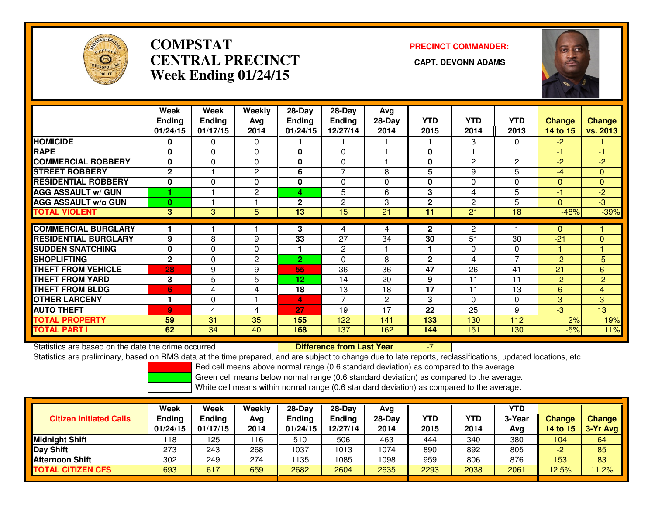

## **COMPSTATCENTRAL PRECINCT Week Ending 01/24/15**

# **PRECINCT COMMANDER:**



|                             | <b>Week</b>    | Week          | Weekly         | 28-Day         | 28-Day         | Avg          |                |            |            |                |                |
|-----------------------------|----------------|---------------|----------------|----------------|----------------|--------------|----------------|------------|------------|----------------|----------------|
|                             | <b>Ending</b>  | <b>Ending</b> | Avg            | <b>Ending</b>  | <b>Ending</b>  | $28-Day$     | <b>YTD</b>     | <b>YTD</b> | <b>YTD</b> | <b>Change</b>  | <b>Change</b>  |
|                             | 01/24/15       | 01/17/15      | 2014           | 01/24/15       | 12/27/14       | 2014         | 2015           | 2014       | 2013       | 14 to 15       | vs. 2013       |
| <b>HOMICIDE</b>             | $\bf{0}$       | $\mathbf{0}$  | $\mathbf{0}$   |                |                |              |                | 3          | $\Omega$   | $-2$           |                |
| <b>RAPE</b>                 | 0              | $\Omega$      | 0              | 0              | 0              |              | 0              |            |            | $-1$           | -1             |
| <b>COMMERCIAL ROBBERY</b>   | $\bf{0}$       | $\Omega$      | $\Omega$       | 0              | 0              |              | 0              | 2          | 2          | $-2$           | $-2$           |
| <b>STREET ROBBERY</b>       | $\mathbf{2}$   |               | $\mathbf{2}$   | 6              | 7              | 8            | 5              | 9          | 5          | $-4$           | $\mathbf{0}$   |
| <b>RESIDENTIAL ROBBERY</b>  | $\bf{0}$       | $\Omega$      | $\Omega$       | 0              | $\Omega$       | 0            | $\bf{0}$       | 0          | $\Omega$   | $\Omega$       | $\mathbf{0}$   |
| <b>AGG ASSAULT w/ GUN</b>   |                |               | $\overline{2}$ | 4              | 5              | 6            | 3              | 4          | 5          | -1             | $-2$           |
| <b>AGG ASSAULT w/o GUN</b>  | $\bf{0}$       |               |                | $\mathbf 2$    | 2              | 3            | $\overline{2}$ | 2          | 5          | $\Omega$       | ل-<br>و-       |
| <b>TOTAL VIOLENT</b>        | 3              | 3             | 5              | 13             | 15             | 21           | 11             | 21         | 18         | $-48%$         | $-39%$         |
|                             |                |               |                |                |                |              |                |            |            |                |                |
| <b>COMMERCIAL BURGLARY</b>  |                |               |                | 3              | 4              | 4            | $\mathbf{2}$   | 2          |            | 0              |                |
| <b>RESIDENTIAL BURGLARY</b> | 9              | 8             | 9              | 33             | 27             | 34           | 30             | 51         | 30         | $-21$          | $\Omega$       |
| <b>SUDDEN SNATCHING</b>     | $\mathbf 0$    | 0             | $\Omega$       |                | 2              |              | 1              | 0          | 0          |                |                |
| <b>SHOPLIFTING</b>          | $\mathbf{2}$   | $\Omega$      | $\mathbf{2}$   | $\overline{2}$ | $\Omega$       | 8            | $\overline{2}$ | 4          | 7          | $-2$           | -5             |
| <b>THEFT FROM VEHICLE</b>   | 28             | 9             | 9              | 55             | 36             | 36           | 47             | 26         | 41         | 21             | 6              |
| <b>THEFT FROM YARD</b>      | 3              | 5             | 5              | 12             | 14             | 20           | 9              | 11         | 11         | $-2$           | $-2$           |
| <b>THEFT FROM BLDG</b>      | 6              | 4             | 4              | 18             | 13             | 18           | 17             | 11         | 13         | 6              | $\overline{4}$ |
| <b>OTHER LARCENY</b>        |                | $\Omega$      |                | 4              | $\overline{7}$ | $\mathbf{2}$ | 3              | 0          | $\Omega$   | 3 <sup>1</sup> | 3 <sup>1</sup> |
| <b>AUTO THEFT</b>           | $\overline{9}$ | 4             | 4              | 27             | 19             | 17           | 22             | 25         | 9          | $-3$           | 13             |
| <b>TOTAL PROPERTY</b>       | 59             | 31            | 35             | 155            | 122            | 141          | 133            | 130        | 112        | 2%             | 19%            |
| <b>TOTAL PART I</b>         | 62             | 34            | 40             | 168            | 137            | 162          | 144            | 151        | 130        | $-5%$          | 11%            |

Statistics are based on the date the crime occurred. **Difference from Last Year** 

Statistics are based on the date the crime occurred. **Extence to Lump in Last Year Mask Year 199**<br>Statistics are preliminary, based on RMS data at the time prepared, and are subject to change due to late reports, reclassif

Red cell means above normal range (0.6 standard deviation) as compared to the average.

Green cell means below normal range (0.6 standard deviation) as compared to the average.

| <b>Citizen Initiated Calls</b> | Week<br>Ending<br>01/24/15 | Week<br>Ending<br>01/17/15 | Weekly<br>Avg<br>2014 | 28-Day<br>Ending<br>01/24/15 | $28-Day$<br><b>Ending</b><br>12/27/14 | Avg<br>28-Dav<br>2014 | YTD<br>2015 | YTD<br>2014 | YTD<br>3-Year<br>Avg | <b>Change</b><br><b>14 to 15</b> | <b>Change</b><br>3-Yr Avg |
|--------------------------------|----------------------------|----------------------------|-----------------------|------------------------------|---------------------------------------|-----------------------|-------------|-------------|----------------------|----------------------------------|---------------------------|
| <b>Midnight Shift</b>          | 118                        | 125                        | 116                   | 510                          | 506                                   | 463                   | 444         | 340         | 380                  | 104                              | 64                        |
| Day Shift                      | 273                        | 243                        | 268                   | 1037                         | 1013                                  | 1074                  | 890         | 892         | 805                  | c<br>-2                          | 85                        |
| <b>Afternoon Shift</b>         | 302                        | 249                        | 274                   | 1135                         | 1085                                  | 1098                  | 959         | 806         | 876                  | 153                              | 83                        |
| <b>TOTAL CITIZEN CFS</b>       | 693                        | 617                        | 659                   | 2682                         | 2604                                  | 2635                  | 2293        | 2038        | 2061                 | 12.5%                            | 1.2%                      |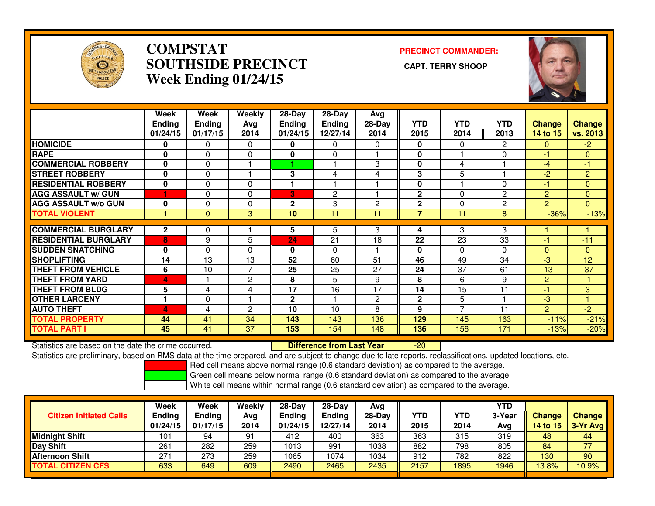

## **COMPSTAT PRECINCT COMMANDER: SOUTHSIDE PRECINCT CAPT. TERRY SHOOPWeek Ending 01/24/15**



|                             | Week<br>Ending<br>01/24/15 | Week<br><b>Ending</b><br>01/17/15 | <b>Weekly</b><br>Avg<br>2014 | $28 - Day$<br><b>Ending</b><br>01/24/15 | $28 - Day$<br><b>Ending</b><br>12/27/14 | Avg<br>28-Day<br>2014 | <b>YTD</b><br>2015 | <b>YTD</b><br>2014 | <b>YTD</b><br>2013 | <b>Change</b><br>14 to 15 | <b>Change</b><br>vs. 2013 |
|-----------------------------|----------------------------|-----------------------------------|------------------------------|-----------------------------------------|-----------------------------------------|-----------------------|--------------------|--------------------|--------------------|---------------------------|---------------------------|
| <b>HOMICIDE</b>             | 0                          | $\Omega$                          | 0                            | 0                                       | $\Omega$                                | 0                     | 0                  | 0                  | 2                  | $\Omega$                  | $-2$                      |
| <b>RAPE</b>                 | $\mathbf{0}$               | $\mathbf{0}$                      | 0                            | 0                                       | $\Omega$                                |                       | 0                  |                    | 0                  | $-1$                      | $\mathbf{0}$              |
| <b>COMMERCIAL ROBBERY</b>   | $\mathbf{0}$               | $\mathbf{0}$                      |                              |                                         |                                         | 3                     | 0                  | 4                  |                    | $-4$                      | -1                        |
| <b>STREET ROBBERY</b>       | $\mathbf 0$                | $\mathbf 0$                       |                              | 3                                       | 4                                       | 4                     | 3                  | 5                  |                    | $-2$                      | $\overline{2}$            |
| <b>RESIDENTIAL ROBBERY</b>  | $\mathbf 0$                | $\mathbf 0$                       | $\Omega$                     |                                         |                                         |                       | 0                  |                    | 0                  | -1                        | $\mathbf{0}$              |
| <b>AGG ASSAULT w/ GUN</b>   |                            | $\Omega$                          | $\Omega$                     | 3                                       | $\overline{2}$                          |                       | $\overline{2}$     | 0                  | $\overline{2}$     | $\overline{2}$            | $\Omega$                  |
| <b>AGG ASSAULT w/o GUN</b>  | $\bf{0}$                   | $\Omega$                          | $\Omega$                     | $\mathbf{2}$                            | 3                                       | 2                     | $\overline{2}$     | 0                  | 2                  | $\overline{2}$            | $\overline{0}$            |
| <b>TOTAL VIOLENT</b>        |                            | $\mathbf{0}$                      | 3                            | 10                                      | 11                                      | 11                    | $\overline{7}$     | 11                 | 8                  | $-36%$                    | $-13%$                    |
|                             |                            |                                   |                              |                                         |                                         |                       |                    |                    |                    |                           |                           |
| <b>COMMERCIAL BURGLARY</b>  | $\mathbf{2}$               | 0                                 |                              | 5                                       | 5                                       | 3                     | 4                  | 3                  | 3                  |                           |                           |
| <b>RESIDENTIAL BURGLARY</b> | 8                          | 9                                 | 5                            | 24                                      | 21                                      | 18                    | 22                 | 23                 | 33                 | $-1$                      | $-11$                     |
| <b>SUDDEN SNATCHING</b>     | $\bf{0}$                   | $\Omega$                          | $\Omega$                     | 0                                       | $\Omega$                                |                       | 0                  | 0                  | $\Omega$           | $\Omega$                  | $\Omega$                  |
| <b>SHOPLIFTING</b>          | 14                         | 13                                | 13                           | 52                                      | 60                                      | 51                    | 46                 | 49                 | 34                 | $-3$                      | 12                        |
| <b>THEFT FROM VEHICLE</b>   | 6                          | 10                                | $\overline{7}$               | 25                                      | 25                                      | 27                    | 24                 | 37                 | 61                 | $-13$                     | $-37$                     |
| <b>THEFT FROM YARD</b>      | 4                          |                                   | $\overline{2}$               | 8                                       | 5                                       | 9                     | 8                  | 6                  | 9                  | $\overline{2}$            | -1                        |
| <b>THEFT FROM BLDG</b>      | 5                          | 4                                 | 4                            | 17                                      | 16                                      | 17                    | 14                 | 15                 | 11                 | -1                        | 3                         |
| <b>OTHER LARCENY</b>        | ٠                          | $\mathbf 0$                       |                              | $\mathbf{2}$                            |                                         | 2                     | $\mathbf{2}$       | 5                  |                    | $-3$                      |                           |
| <b>AUTO THEFT</b>           | 4                          | 4                                 | $\overline{2}$               | 10                                      | 10                                      | 8                     | 9                  | 7                  | 11                 | $\overline{2}$            | $-2$                      |
| <b>TOTAL PROPERTY</b>       | 44                         | 41                                | 34                           | 143                                     | 143                                     | 136                   | 129                | 145                | 163                | $-11%$                    | $-21%$                    |
| <b>TOTAL PART I</b>         | 45                         | 41                                | 37                           | 153                                     | 154                                     | 148                   | 136                | 156                | 171                | $-13%$                    | $-20%$                    |

Statistics are based on the date the crime occurred. **Difference from Last Year** 

Statistics are based on the date the crime occurred. **Externee the Difference from Last Year Theoren 1998** - 20<br>Statistics are preliminary, based on RMS data at the time prepared, and are subject to change due to late repo

Red cell means above normal range (0.6 standard deviation) as compared to the average.

Green cell means below normal range (0.6 standard deviation) as compared to the average.

| <b>Citizen Initiated Calls</b> | Week<br><b>Ending</b><br>01/24/15 | <b>Week</b><br><b>Ending</b><br>01/17/15 | Weekly<br>Ava<br>2014 | $28-Dav$<br><b>Ending</b><br>01/24/15 | $28-Day$<br>Ending<br>12/27/14 | Avg<br>$28-Day$<br>2014 | YTD<br>2015 | YTD<br>2014 | YTD<br>3-Year<br>Avg | Change<br>14 to 15 | <b>Change</b><br>3-Yr Avg |
|--------------------------------|-----------------------------------|------------------------------------------|-----------------------|---------------------------------------|--------------------------------|-------------------------|-------------|-------------|----------------------|--------------------|---------------------------|
| <b>Midnight Shift</b>          | 101                               | 94                                       | 91                    | 412                                   | 400                            | 363                     | 363         | 315         | 319                  | 48                 | 44                        |
| Day Shift                      | 261                               | 282                                      | 259                   | 1013                                  | 991                            | 1038                    | 882         | 798         | 805                  | 84                 | 77                        |
| <b>Afternoon Shift</b>         | 271                               | 273                                      | 259                   | 1065                                  | 1074                           | 1034                    | 912         | 782         | 822                  | 130                | 90                        |
| <b>TOTAL CITIZEN CFS</b>       | 633                               | 649                                      | 609                   | 2490                                  | 2465                           | 2435                    | 2157        | 1895        | 1946                 | 13.8%              | 10.9%                     |